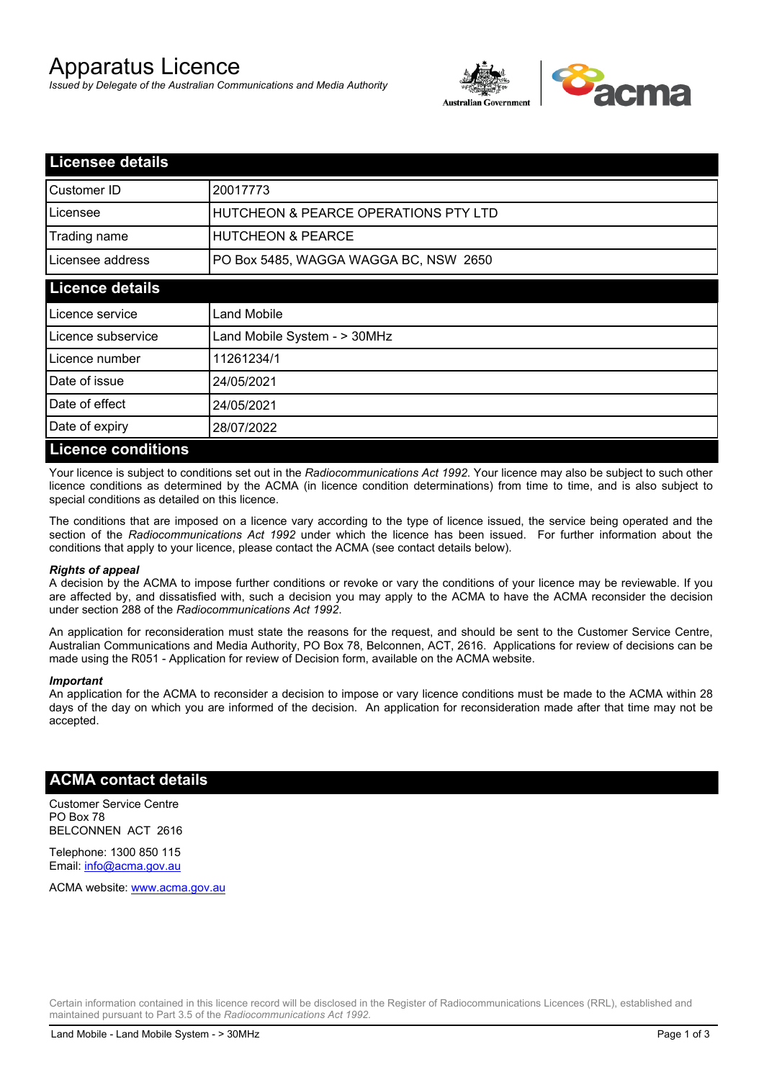# Apparatus Licence

*Issued by Delegate of the Australian Communications and Media Authority*



| <b>Licensee details</b>   |                                       |  |
|---------------------------|---------------------------------------|--|
| Customer ID               | 20017773                              |  |
| Licensee                  | HUTCHEON & PEARCE OPERATIONS PTY LTD  |  |
| Trading name              | <b>HUTCHEON &amp; PEARCE</b>          |  |
| Licensee address          | PO Box 5485, WAGGA WAGGA BC, NSW 2650 |  |
| <b>Licence details</b>    |                                       |  |
| Licence service           | Land Mobile                           |  |
| Licence subservice        | Land Mobile System - > 30MHz          |  |
| Licence number            | 11261234/1                            |  |
| Date of issue             | 24/05/2021                            |  |
| Date of effect            | 24/05/2021                            |  |
| Date of expiry            | 28/07/2022                            |  |
| <b>Licence conditions</b> |                                       |  |

Your licence is subject to conditions set out in the *Radiocommunications Act 1992*. Your licence may also be subject to such other licence conditions as determined by the ACMA (in licence condition determinations) from time to time, and is also subject to special conditions as detailed on this licence.

The conditions that are imposed on a licence vary according to the type of licence issued, the service being operated and the section of the *Radiocommunications Act 1992* under which the licence has been issued. For further information about the conditions that apply to your licence, please contact the ACMA (see contact details below).

#### *Rights of appeal*

A decision by the ACMA to impose further conditions or revoke or vary the conditions of your licence may be reviewable. If you are affected by, and dissatisfied with, such a decision you may apply to the ACMA to have the ACMA reconsider the decision under section 288 of the *Radiocommunications Act 1992*.

An application for reconsideration must state the reasons for the request, and should be sent to the Customer Service Centre, Australian Communications and Media Authority, PO Box 78, Belconnen, ACT, 2616. Applications for review of decisions can be made using the R051 - Application for review of Decision form, available on the ACMA website.

#### *Important*

An application for the ACMA to reconsider a decision to impose or vary licence conditions must be made to the ACMA within 28 days of the day on which you are informed of the decision. An application for reconsideration made after that time may not be accepted.

### **ACMA contact details**

Customer Service Centre PO Box 78 BELCONNEN ACT 2616

Telephone: 1300 850 115 Email: info@acma.gov.au

ACMA website: www.acma.gov.au

Certain information contained in this licence record will be disclosed in the Register of Radiocommunications Licences (RRL), established and maintained pursuant to Part 3.5 of the *Radiocommunications Act 1992.*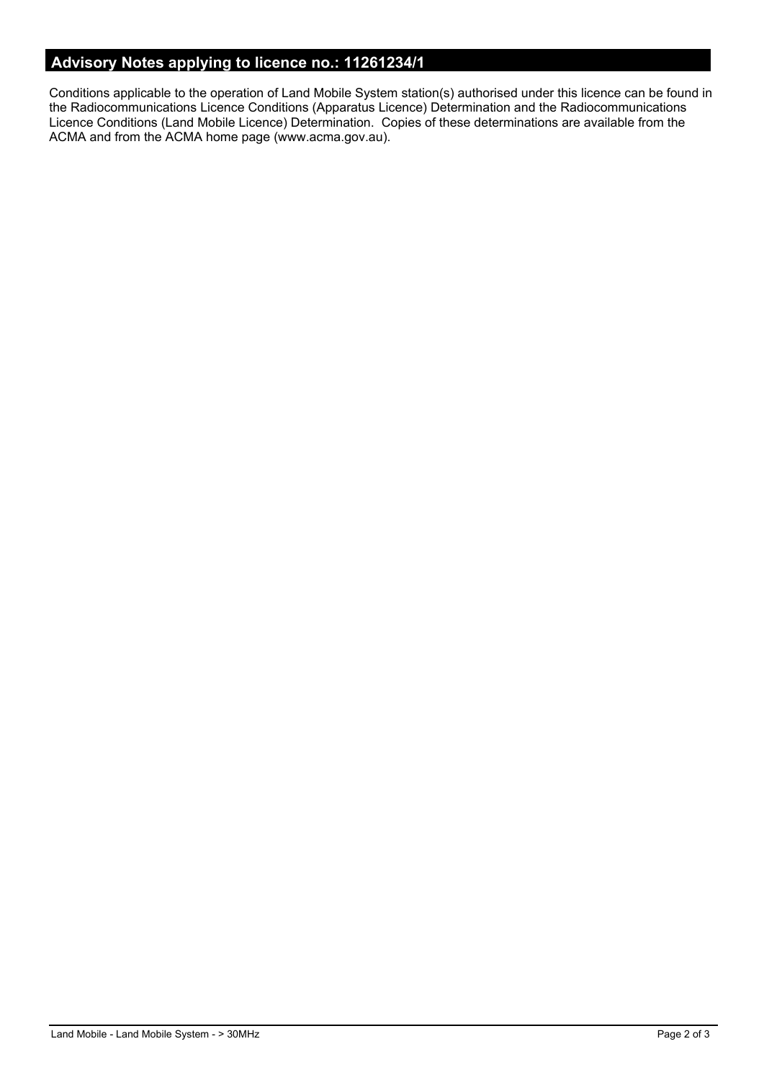# **Advisory Notes applying to licence no.: 11261234/1**

Conditions applicable to the operation of Land Mobile System station(s) authorised under this licence can be found in the Radiocommunications Licence Conditions (Apparatus Licence) Determination and the Radiocommunications Licence Conditions (Land Mobile Licence) Determination. Copies of these determinations are available from the ACMA and from the ACMA home page (www.acma.gov.au).